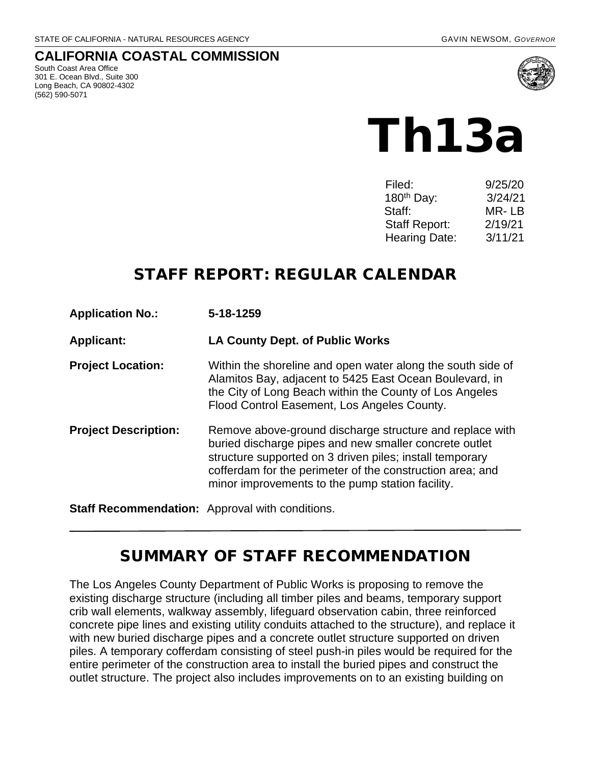#### **CALIFORNIA COASTAL COMMISSION**

South Coast Area Office 301 E. Ocean Blvd., Suite 300 Long Beach, CA 90802-4302 (562) 590-5071



# Th13a

| Filed:                 | 9/25/20 |
|------------------------|---------|
| 180 <sup>th</sup> Day: | 3/24/21 |
| Staff:                 | MR- LB  |
| <b>Staff Report:</b>   | 2/19/21 |
| <b>Hearing Date:</b>   | 3/11/21 |

# STAFF REPORT: REGULAR CALENDAR

| <b>Application No.:</b>                         | 5-18-1259<br><b>LA County Dept. of Public Works</b>                                                                                                                                                                                                                                             |  |
|-------------------------------------------------|-------------------------------------------------------------------------------------------------------------------------------------------------------------------------------------------------------------------------------------------------------------------------------------------------|--|
| <b>Applicant:</b>                               |                                                                                                                                                                                                                                                                                                 |  |
| <b>Project Location:</b>                        | Within the shoreline and open water along the south side of<br>Alamitos Bay, adjacent to 5425 East Ocean Boulevard, in<br>the City of Long Beach within the County of Los Angeles<br>Flood Control Easement, Los Angeles County.                                                                |  |
| <b>Project Description:</b>                     | Remove above-ground discharge structure and replace with<br>buried discharge pipes and new smaller concrete outlet<br>structure supported on 3 driven piles; install temporary<br>cofferdam for the perimeter of the construction area; and<br>minor improvements to the pump station facility. |  |
| Staff Recommendation: Approval with conditions. |                                                                                                                                                                                                                                                                                                 |  |

# SUMMARY OF STAFF RECOMMENDATION

The Los Angeles County Department of Public Works is proposing to remove the existing discharge structure (including all timber piles and beams, temporary support crib wall elements, walkway assembly, lifeguard observation cabin, three reinforced concrete pipe lines and existing utility conduits attached to the structure), and replace it with new buried discharge pipes and a concrete outlet structure supported on driven piles. A temporary cofferdam consisting of steel push-in piles would be required for the entire perimeter of the construction area to install the buried pipes and construct the outlet structure. The project also includes improvements on to an existing building on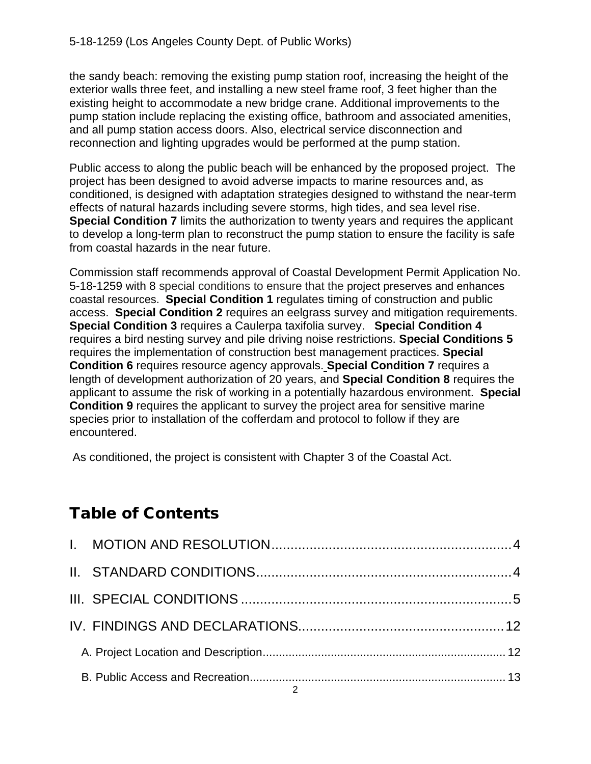the sandy beach: removing the existing pump station roof, increasing the height of the exterior walls three feet, and installing a new steel frame roof, 3 feet higher than the existing height to accommodate a new bridge crane. Additional improvements to the pump station include replacing the existing office, bathroom and associated amenities, and all pump station access doors. Also, electrical service disconnection and reconnection and lighting upgrades would be performed at the pump station.

Public access to along the public beach will be enhanced by the proposed project. The project has been designed to avoid adverse impacts to marine resources and, as conditioned, is designed with adaptation strategies designed to withstand the near-term effects of natural hazards including severe storms, high tides, and sea level rise. **Special Condition 7** limits the authorization to twenty years and requires the applicant to develop a long-term plan to reconstruct the pump station to ensure the facility is safe from coastal hazards in the near future.

Commission staff recommends approval of Coastal Development Permit Application No. 5-18-1259 with 8 special conditions to ensure that the project preserves and enhances coastal resources. **Special Condition 1** regulates timing of construction and public access. **Special Condition 2** requires an eelgrass survey and mitigation requirements. **Special Condition 3** requires a Caulerpa taxifolia survey. **Special Condition 4** requires a bird nesting survey and pile driving noise restrictions. **Special Conditions 5**  requires the implementation of construction best management practices. **Special Condition 6** requires resource agency approvals. **Special Condition 7** requires a length of development authorization of 20 years, and **Special Condition 8** requires the applicant to assume the risk of working in a potentially hazardous environment. **Special Condition 9** requires the applicant to survey the project area for sensitive marine species prior to installation of the cofferdam and protocol to follow if they are encountered.

As conditioned, the project is consistent with Chapter 3 of the Coastal Act.

# Table of Contents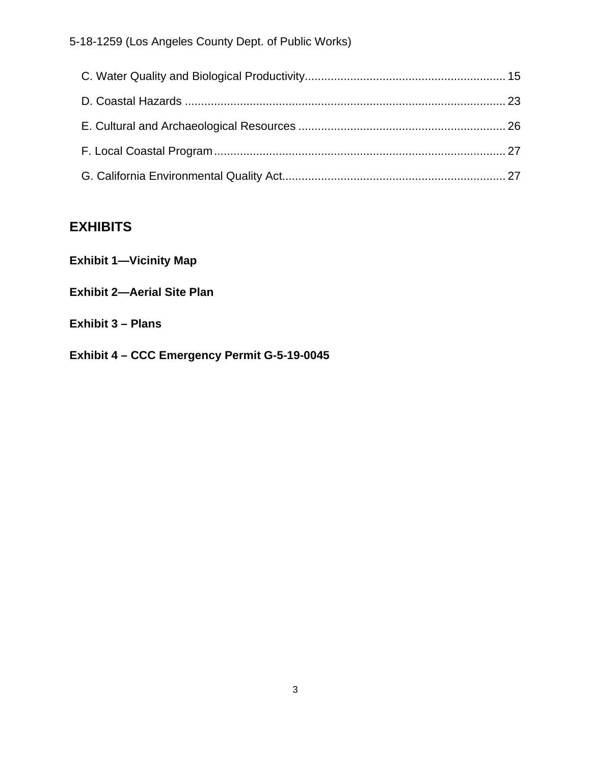## **EXHIBITS**

|  |  | <b>Exhibit 1-Vicinity Map</b> |
|--|--|-------------------------------|
|--|--|-------------------------------|

- **Exhibit 2—Aerial Site Plan**
- **Exhibit 3 Plans**
- **Exhibit 4 CCC Emergency Permit G-5-19-0045**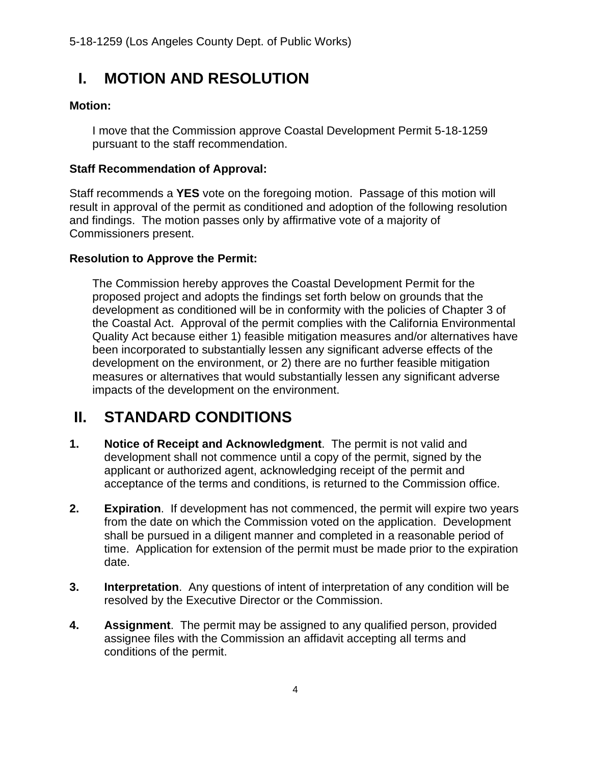# <span id="page-3-0"></span>**I. MOTION AND RESOLUTION**

#### **Motion:**

I move that the Commission approve Coastal Development Permit 5-18-1259 pursuant to the staff recommendation.

#### **Staff Recommendation of Approval:**

Staff recommends a **YES** vote on the foregoing motion. Passage of this motion will result in approval of the permit as conditioned and adoption of the following resolution and findings. The motion passes only by affirmative vote of a majority of Commissioners present.

#### **Resolution to Approve the Permit:**

The Commission hereby approves the Coastal Development Permit for the proposed project and adopts the findings set forth below on grounds that the development as conditioned will be in conformity with the policies of Chapter 3 of the Coastal Act. Approval of the permit complies with the California Environmental Quality Act because either 1) feasible mitigation measures and/or alternatives have been incorporated to substantially lessen any significant adverse effects of the development on the environment, or 2) there are no further feasible mitigation measures or alternatives that would substantially lessen any significant adverse impacts of the development on the environment.

# <span id="page-3-1"></span>**II. STANDARD CONDITIONS**

- **1. Notice of Receipt and Acknowledgment**. The permit is not valid and development shall not commence until a copy of the permit, signed by the applicant or authorized agent, acknowledging receipt of the permit and acceptance of the terms and conditions, is returned to the Commission office.
- **2. Expiration**. If development has not commenced, the permit will expire two years from the date on which the Commission voted on the application. Development shall be pursued in a diligent manner and completed in a reasonable period of time. Application for extension of the permit must be made prior to the expiration date.
- **3. Interpretation**. Any questions of intent of interpretation of any condition will be resolved by the Executive Director or the Commission.
- **4. Assignment**. The permit may be assigned to any qualified person, provided assignee files with the Commission an affidavit accepting all terms and conditions of the permit.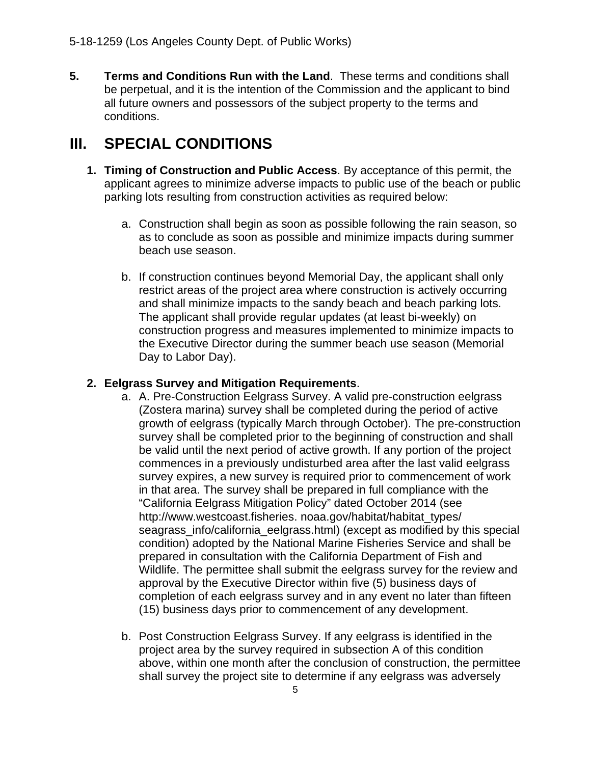**5. Terms and Conditions Run with the Land**. These terms and conditions shall be perpetual, and it is the intention of the Commission and the applicant to bind all future owners and possessors of the subject property to the terms and conditions.

# <span id="page-4-0"></span>**III. SPECIAL CONDITIONS**

- **1. Timing of Construction and Public Access**. By acceptance of this permit, the applicant agrees to minimize adverse impacts to public use of the beach or public parking lots resulting from construction activities as required below:
	- a. Construction shall begin as soon as possible following the rain season, so as to conclude as soon as possible and minimize impacts during summer beach use season.
	- b. If construction continues beyond Memorial Day, the applicant shall only restrict areas of the project area where construction is actively occurring and shall minimize impacts to the sandy beach and beach parking lots. The applicant shall provide regular updates (at least bi-weekly) on construction progress and measures implemented to minimize impacts to the Executive Director during the summer beach use season (Memorial Day to Labor Day).

#### **2. Eelgrass Survey and Mitigation Requirements**.

- a. A. Pre-Construction Eelgrass Survey. A valid pre-construction eelgrass (Zostera marina) survey shall be completed during the period of active growth of eelgrass (typically March through October). The pre-construction survey shall be completed prior to the beginning of construction and shall be valid until the next period of active growth. If any portion of the project commences in a previously undisturbed area after the last valid eelgrass survey expires, a new survey is required prior to commencement of work in that area. The survey shall be prepared in full compliance with the "California Eelgrass Mitigation Policy" dated October 2014 (see http://www.westcoast.fisheries. noaa.gov/habitat/habitat\_types/ seagrass\_info/california\_eelgrass.html) (except as modified by this special condition) adopted by the National Marine Fisheries Service and shall be prepared in consultation with the California Department of Fish and Wildlife. The permittee shall submit the eelgrass survey for the review and approval by the Executive Director within five (5) business days of completion of each eelgrass survey and in any event no later than fifteen (15) business days prior to commencement of any development.
- b. Post Construction Eelgrass Survey. If any eelgrass is identified in the project area by the survey required in subsection A of this condition above, within one month after the conclusion of construction, the permittee shall survey the project site to determine if any eelgrass was adversely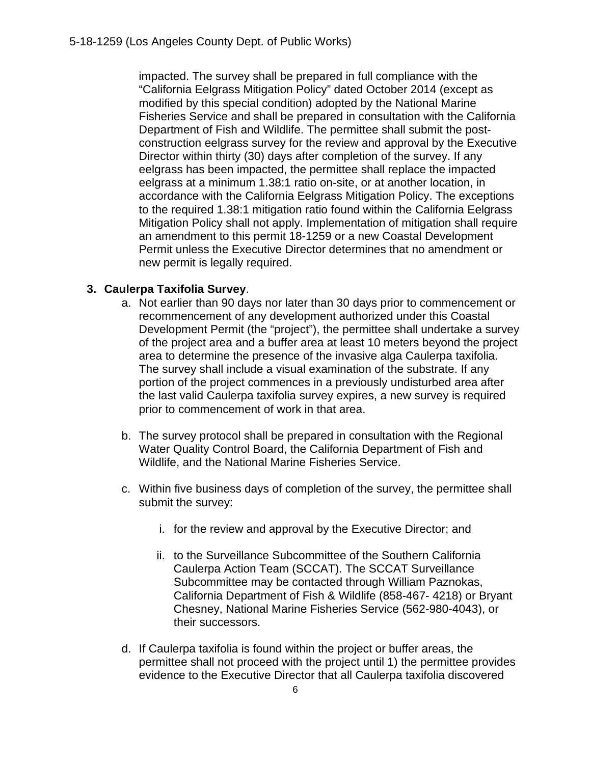impacted. The survey shall be prepared in full compliance with the "California Eelgrass Mitigation Policy" dated October 2014 (except as modified by this special condition) adopted by the National Marine Fisheries Service and shall be prepared in consultation with the California Department of Fish and Wildlife. The permittee shall submit the postconstruction eelgrass survey for the review and approval by the Executive Director within thirty (30) days after completion of the survey. If any eelgrass has been impacted, the permittee shall replace the impacted eelgrass at a minimum 1.38:1 ratio on-site, or at another location, in accordance with the California Eelgrass Mitigation Policy. The exceptions to the required 1.38:1 mitigation ratio found within the California Eelgrass Mitigation Policy shall not apply. Implementation of mitigation shall require an amendment to this permit 18-1259 or a new Coastal Development Permit unless the Executive Director determines that no amendment or new permit is legally required.

#### **3. Caulerpa Taxifolia Survey**.

- a. Not earlier than 90 days nor later than 30 days prior to commencement or recommencement of any development authorized under this Coastal Development Permit (the "project"), the permittee shall undertake a survey of the project area and a buffer area at least 10 meters beyond the project area to determine the presence of the invasive alga Caulerpa taxifolia. The survey shall include a visual examination of the substrate. If any portion of the project commences in a previously undisturbed area after the last valid Caulerpa taxifolia survey expires, a new survey is required prior to commencement of work in that area.
- b. The survey protocol shall be prepared in consultation with the Regional Water Quality Control Board, the California Department of Fish and Wildlife, and the National Marine Fisheries Service.
- c. Within five business days of completion of the survey, the permittee shall submit the survey:
	- i. for the review and approval by the Executive Director; and
	- ii. to the Surveillance Subcommittee of the Southern California Caulerpa Action Team (SCCAT). The SCCAT Surveillance Subcommittee may be contacted through William Paznokas, California Department of Fish & Wildlife (858-467- 4218) or Bryant Chesney, National Marine Fisheries Service (562-980-4043), or their successors.
- d. If Caulerpa taxifolia is found within the project or buffer areas, the permittee shall not proceed with the project until 1) the permittee provides evidence to the Executive Director that all Caulerpa taxifolia discovered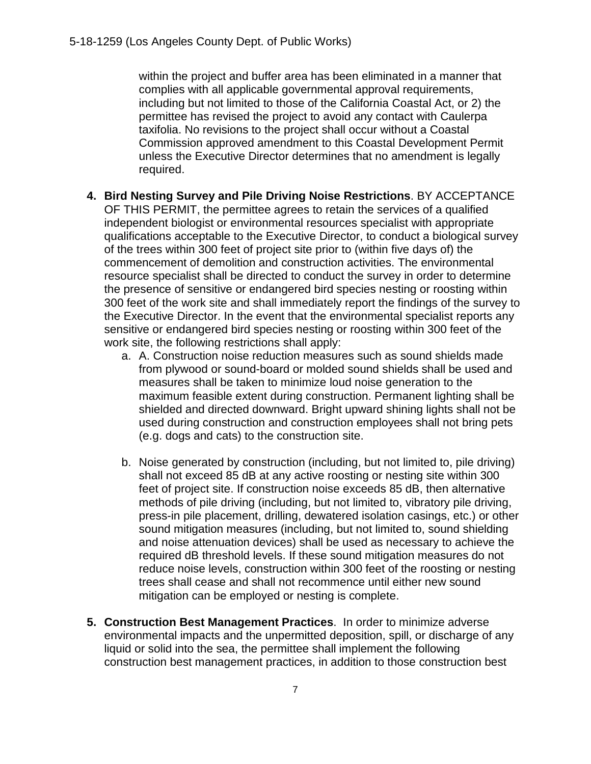within the project and buffer area has been eliminated in a manner that complies with all applicable governmental approval requirements, including but not limited to those of the California Coastal Act, or 2) the permittee has revised the project to avoid any contact with Caulerpa taxifolia. No revisions to the project shall occur without a Coastal Commission approved amendment to this Coastal Development Permit unless the Executive Director determines that no amendment is legally required.

- **4. Bird Nesting Survey and Pile Driving Noise Restrictions**. BY ACCEPTANCE OF THIS PERMIT, the permittee agrees to retain the services of a qualified independent biologist or environmental resources specialist with appropriate qualifications acceptable to the Executive Director, to conduct a biological survey of the trees within 300 feet of project site prior to (within five days of) the commencement of demolition and construction activities. The environmental resource specialist shall be directed to conduct the survey in order to determine the presence of sensitive or endangered bird species nesting or roosting within 300 feet of the work site and shall immediately report the findings of the survey to the Executive Director. In the event that the environmental specialist reports any sensitive or endangered bird species nesting or roosting within 300 feet of the work site, the following restrictions shall apply:
	- a. A. Construction noise reduction measures such as sound shields made from plywood or sound-board or molded sound shields shall be used and measures shall be taken to minimize loud noise generation to the maximum feasible extent during construction. Permanent lighting shall be shielded and directed downward. Bright upward shining lights shall not be used during construction and construction employees shall not bring pets (e.g. dogs and cats) to the construction site.
	- b. Noise generated by construction (including, but not limited to, pile driving) shall not exceed 85 dB at any active roosting or nesting site within 300 feet of project site. If construction noise exceeds 85 dB, then alternative methods of pile driving (including, but not limited to, vibratory pile driving, press-in pile placement, drilling, dewatered isolation casings, etc.) or other sound mitigation measures (including, but not limited to, sound shielding and noise attenuation devices) shall be used as necessary to achieve the required dB threshold levels. If these sound mitigation measures do not reduce noise levels, construction within 300 feet of the roosting or nesting trees shall cease and shall not recommence until either new sound mitigation can be employed or nesting is complete.
- **5. Construction Best Management Practices**. In order to minimize adverse environmental impacts and the unpermitted deposition, spill, or discharge of any liquid or solid into the sea, the permittee shall implement the following construction best management practices, in addition to those construction best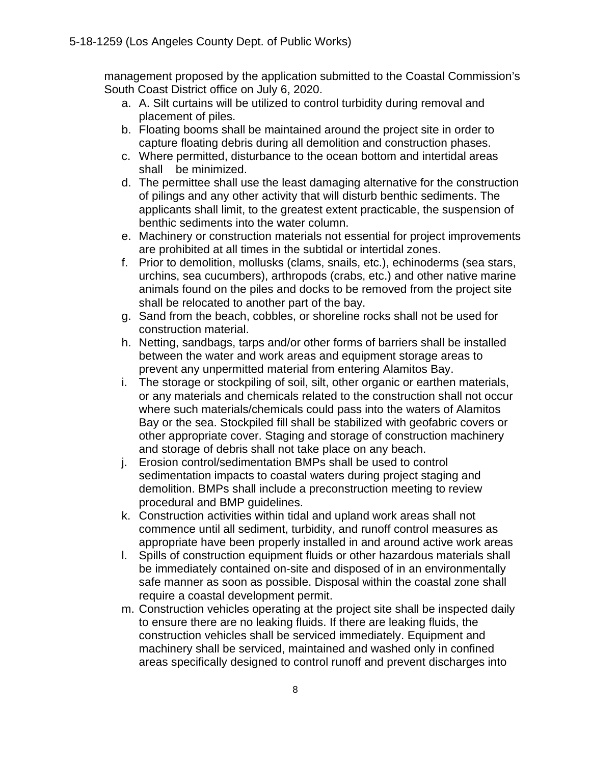management proposed by the application submitted to the Coastal Commission's South Coast District office on July 6, 2020.

- a. A. Silt curtains will be utilized to control turbidity during removal and placement of piles.
- b. Floating booms shall be maintained around the project site in order to capture floating debris during all demolition and construction phases.
- c. Where permitted, disturbance to the ocean bottom and intertidal areas shall be minimized.
- d. The permittee shall use the least damaging alternative for the construction of pilings and any other activity that will disturb benthic sediments. The applicants shall limit, to the greatest extent practicable, the suspension of benthic sediments into the water column.
- e. Machinery or construction materials not essential for project improvements are prohibited at all times in the subtidal or intertidal zones.
- f. Prior to demolition, mollusks (clams, snails, etc.), echinoderms (sea stars, urchins, sea cucumbers), arthropods (crabs, etc.) and other native marine animals found on the piles and docks to be removed from the project site shall be relocated to another part of the bay.
- g. Sand from the beach, cobbles, or shoreline rocks shall not be used for construction material.
- h. Netting, sandbags, tarps and/or other forms of barriers shall be installed between the water and work areas and equipment storage areas to prevent any unpermitted material from entering Alamitos Bay.
- i. The storage or stockpiling of soil, silt, other organic or earthen materials, or any materials and chemicals related to the construction shall not occur where such materials/chemicals could pass into the waters of Alamitos Bay or the sea. Stockpiled fill shall be stabilized with geofabric covers or other appropriate cover. Staging and storage of construction machinery and storage of debris shall not take place on any beach.
- j. Erosion control/sedimentation BMPs shall be used to control sedimentation impacts to coastal waters during project staging and demolition. BMPs shall include a preconstruction meeting to review procedural and BMP guidelines.
- k. Construction activities within tidal and upland work areas shall not commence until all sediment, turbidity, and runoff control measures as appropriate have been properly installed in and around active work areas
- l. Spills of construction equipment fluids or other hazardous materials shall be immediately contained on-site and disposed of in an environmentally safe manner as soon as possible. Disposal within the coastal zone shall require a coastal development permit.
- m. Construction vehicles operating at the project site shall be inspected daily to ensure there are no leaking fluids. If there are leaking fluids, the construction vehicles shall be serviced immediately. Equipment and machinery shall be serviced, maintained and washed only in confined areas specifically designed to control runoff and prevent discharges into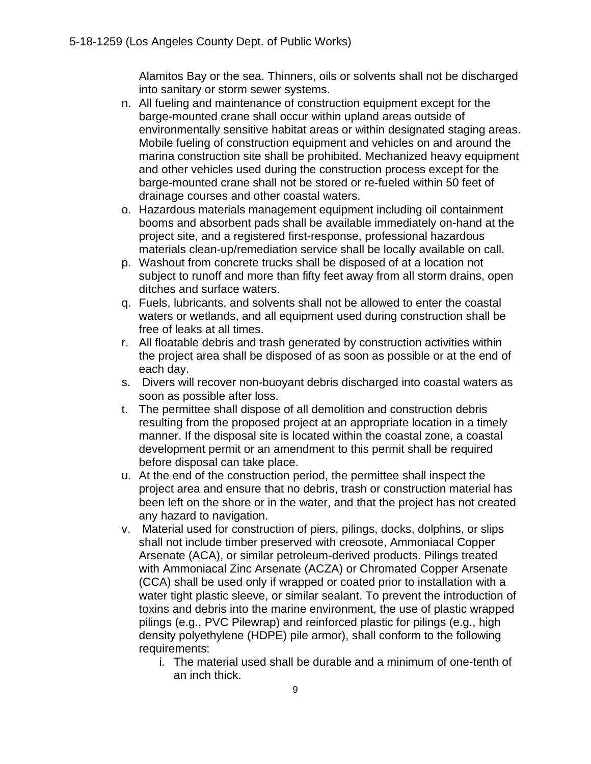Alamitos Bay or the sea. Thinners, oils or solvents shall not be discharged into sanitary or storm sewer systems.

- n. All fueling and maintenance of construction equipment except for the barge-mounted crane shall occur within upland areas outside of environmentally sensitive habitat areas or within designated staging areas. Mobile fueling of construction equipment and vehicles on and around the marina construction site shall be prohibited. Mechanized heavy equipment and other vehicles used during the construction process except for the barge-mounted crane shall not be stored or re-fueled within 50 feet of drainage courses and other coastal waters.
- o. Hazardous materials management equipment including oil containment booms and absorbent pads shall be available immediately on-hand at the project site, and a registered first-response, professional hazardous materials clean-up/remediation service shall be locally available on call.
- p. Washout from concrete trucks shall be disposed of at a location not subject to runoff and more than fifty feet away from all storm drains, open ditches and surface waters.
- q. Fuels, lubricants, and solvents shall not be allowed to enter the coastal waters or wetlands, and all equipment used during construction shall be free of leaks at all times.
- r. All floatable debris and trash generated by construction activities within the project area shall be disposed of as soon as possible or at the end of each day.
- s. Divers will recover non-buoyant debris discharged into coastal waters as soon as possible after loss.
- t. The permittee shall dispose of all demolition and construction debris resulting from the proposed project at an appropriate location in a timely manner. If the disposal site is located within the coastal zone, a coastal development permit or an amendment to this permit shall be required before disposal can take place.
- u. At the end of the construction period, the permittee shall inspect the project area and ensure that no debris, trash or construction material has been left on the shore or in the water, and that the project has not created any hazard to navigation.
- v. Material used for construction of piers, pilings, docks, dolphins, or slips shall not include timber preserved with creosote, Ammoniacal Copper Arsenate (ACA), or similar petroleum-derived products. Pilings treated with Ammoniacal Zinc Arsenate (ACZA) or Chromated Copper Arsenate (CCA) shall be used only if wrapped or coated prior to installation with a water tight plastic sleeve, or similar sealant. To prevent the introduction of toxins and debris into the marine environment, the use of plastic wrapped pilings (e.g., PVC Pilewrap) and reinforced plastic for pilings (e.g., high density polyethylene (HDPE) pile armor), shall conform to the following requirements:
	- i. The material used shall be durable and a minimum of one-tenth of an inch thick.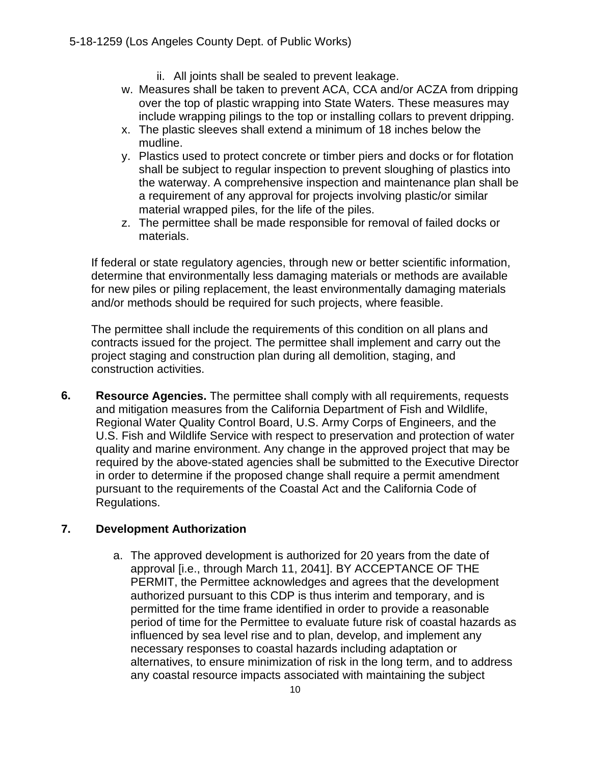- ii. All joints shall be sealed to prevent leakage.
- w. Measures shall be taken to prevent ACA, CCA and/or ACZA from dripping over the top of plastic wrapping into State Waters. These measures may include wrapping pilings to the top or installing collars to prevent dripping.
- x. The plastic sleeves shall extend a minimum of 18 inches below the mudline.
- y. Plastics used to protect concrete or timber piers and docks or for flotation shall be subject to regular inspection to prevent sloughing of plastics into the waterway. A comprehensive inspection and maintenance plan shall be a requirement of any approval for projects involving plastic/or similar material wrapped piles, for the life of the piles.
- z. The permittee shall be made responsible for removal of failed docks or materials.

If federal or state regulatory agencies, through new or better scientific information, determine that environmentally less damaging materials or methods are available for new piles or piling replacement, the least environmentally damaging materials and/or methods should be required for such projects, where feasible.

The permittee shall include the requirements of this condition on all plans and contracts issued for the project. The permittee shall implement and carry out the project staging and construction plan during all demolition, staging, and construction activities.

**6. Resource Agencies.** The permittee shall comply with all requirements, requests and mitigation measures from the California Department of Fish and Wildlife, Regional Water Quality Control Board, U.S. Army Corps of Engineers, and the U.S. Fish and Wildlife Service with respect to preservation and protection of water quality and marine environment. Any change in the approved project that may be required by the above-stated agencies shall be submitted to the Executive Director in order to determine if the proposed change shall require a permit amendment pursuant to the requirements of the Coastal Act and the California Code of Regulations.

#### **7. Development Authorization**

a. The approved development is authorized for 20 years from the date of approval [i.e., through March 11, 2041]. BY ACCEPTANCE OF THE PERMIT, the Permittee acknowledges and agrees that the development authorized pursuant to this CDP is thus interim and temporary, and is permitted for the time frame identified in order to provide a reasonable period of time for the Permittee to evaluate future risk of coastal hazards as influenced by sea level rise and to plan, develop, and implement any necessary responses to coastal hazards including adaptation or alternatives, to ensure minimization of risk in the long term, and to address any coastal resource impacts associated with maintaining the subject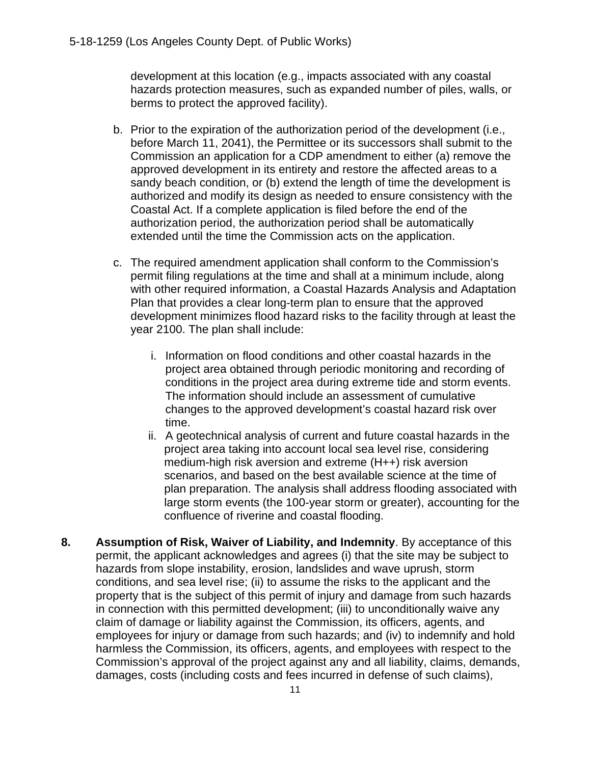development at this location (e.g., impacts associated with any coastal hazards protection measures, such as expanded number of piles, walls, or berms to protect the approved facility).

- b. Prior to the expiration of the authorization period of the development (i.e., before March 11, 2041), the Permittee or its successors shall submit to the Commission an application for a CDP amendment to either (a) remove the approved development in its entirety and restore the affected areas to a sandy beach condition, or (b) extend the length of time the development is authorized and modify its design as needed to ensure consistency with the Coastal Act. If a complete application is filed before the end of the authorization period, the authorization period shall be automatically extended until the time the Commission acts on the application.
- c. The required amendment application shall conform to the Commission's permit filing regulations at the time and shall at a minimum include, along with other required information, a Coastal Hazards Analysis and Adaptation Plan that provides a clear long-term plan to ensure that the approved development minimizes flood hazard risks to the facility through at least the year 2100. The plan shall include:
	- i. Information on flood conditions and other coastal hazards in the project area obtained through periodic monitoring and recording of conditions in the project area during extreme tide and storm events. The information should include an assessment of cumulative changes to the approved development's coastal hazard risk over time.
	- ii. A geotechnical analysis of current and future coastal hazards in the project area taking into account local sea level rise, considering medium-high risk aversion and extreme (H++) risk aversion scenarios, and based on the best available science at the time of plan preparation. The analysis shall address flooding associated with large storm events (the 100-year storm or greater), accounting for the confluence of riverine and coastal flooding.
- **8. Assumption of Risk, Waiver of Liability, and Indemnity**. By acceptance of this permit, the applicant acknowledges and agrees (i) that the site may be subject to hazards from slope instability, erosion, landslides and wave uprush, storm conditions, and sea level rise; (ii) to assume the risks to the applicant and the property that is the subject of this permit of injury and damage from such hazards in connection with this permitted development; (iii) to unconditionally waive any claim of damage or liability against the Commission, its officers, agents, and employees for injury or damage from such hazards; and (iv) to indemnify and hold harmless the Commission, its officers, agents, and employees with respect to the Commission's approval of the project against any and all liability, claims, demands, damages, costs (including costs and fees incurred in defense of such claims),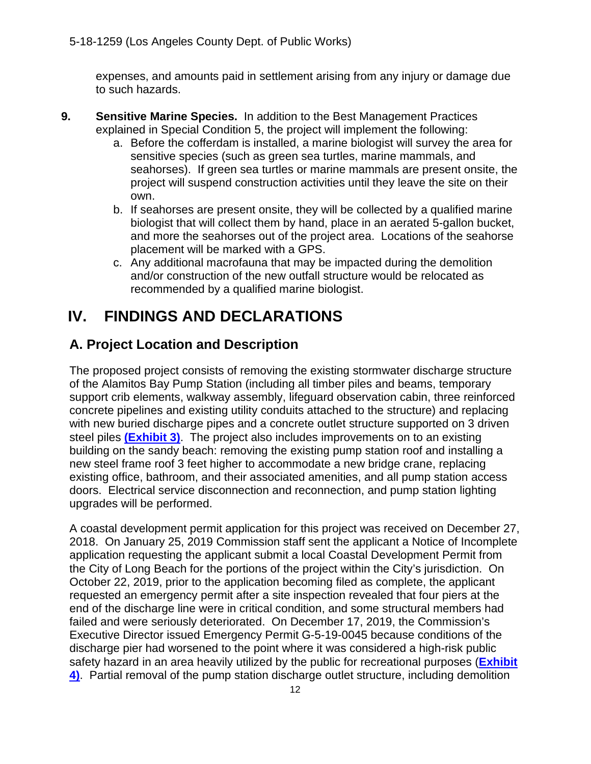expenses, and amounts paid in settlement arising from any injury or damage due to such hazards.

- **9. Sensitive Marine Species.** In addition to the Best Management Practices explained in Special Condition 5, the project will implement the following:
	- a. Before the cofferdam is installed, a marine biologist will survey the area for sensitive species (such as green sea turtles, marine mammals, and seahorses). If green sea turtles or marine mammals are present onsite, the project will suspend construction activities until they leave the site on their own.
	- b. If seahorses are present onsite, they will be collected by a qualified marine biologist that will collect them by hand, place in an aerated 5-gallon bucket, and more the seahorses out of the project area. Locations of the seahorse placement will be marked with a GPS.
	- c. Any additional macrofauna that may be impacted during the demolition and/or construction of the new outfall structure would be relocated as recommended by a qualified marine biologist.

# <span id="page-11-0"></span>**IV. FINDINGS AND DECLARATIONS**

## <span id="page-11-1"></span>**A. Project Location and Description**

The proposed project consists of removing the existing stormwater discharge structure of the Alamitos Bay Pump Station (including all timber piles and beams, temporary support crib elements, walkway assembly, lifeguard observation cabin, three reinforced concrete pipelines and existing utility conduits attached to the structure) and replacing with new buried discharge pipes and a concrete outlet structure supported on 3 driven steel piles **[\(Exhibit 3\)](https://documents.coastal.ca.gov/reports/2021/3/Th13a/Th13a-3-2021-exhibits.pdf)**. The project also includes improvements on to an existing building on the sandy beach: removing the existing pump station roof and installing a new steel frame roof 3 feet higher to accommodate a new bridge crane, replacing existing office, bathroom, and their associated amenities, and all pump station access doors. Electrical service disconnection and reconnection, and pump station lighting upgrades will be performed.

A coastal development permit application for this project was received on December 27, 2018. On January 25, 2019 Commission staff sent the applicant a Notice of Incomplete application requesting the applicant submit a local Coastal Development Permit from the City of Long Beach for the portions of the project within the City's jurisdiction. On October 22, 2019, prior to the application becoming filed as complete, the applicant requested an emergency permit after a site inspection revealed that four piers at the end of the discharge line were in critical condition, and some structural members had failed and were seriously deteriorated. On December 17, 2019, the Commission's Executive Director issued Emergency Permit G-5-19-0045 because conditions of the discharge pier had worsened to the point where it was considered a high-risk public safety hazard in an area heavily utilized by the public for recreational purposes (**[Exhibit](https://documents.coastal.ca.gov/reports/2021/3/Th13a/Th13a-3-2021-exhibits.pdf)  [4\)](https://documents.coastal.ca.gov/reports/2021/3/Th13a/Th13a-3-2021-exhibits.pdf)**. Partial removal of the pump station discharge outlet structure, including demolition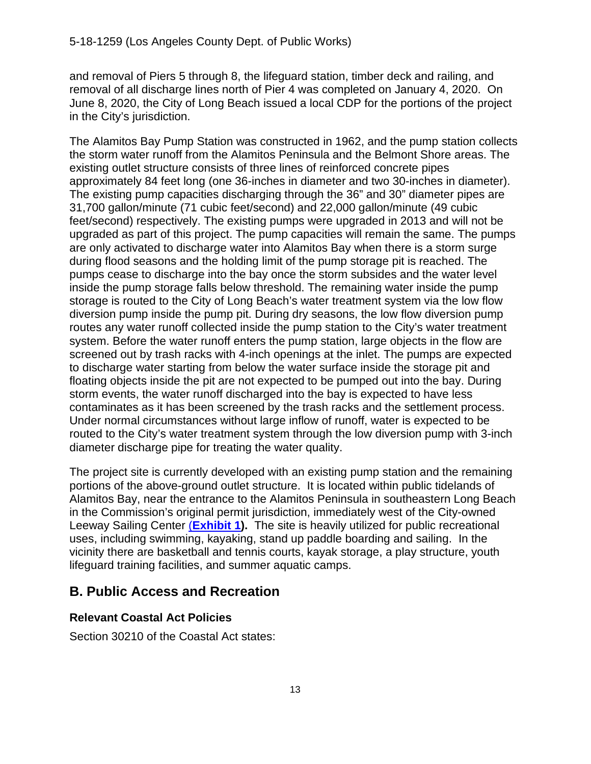and removal of Piers 5 through 8, the lifeguard station, timber deck and railing, and removal of all discharge lines north of Pier 4 was completed on January 4, 2020. On June 8, 2020, the City of Long Beach issued a local CDP for the portions of the project in the City's jurisdiction.

The Alamitos Bay Pump Station was constructed in 1962, and the pump station collects the storm water runoff from the Alamitos Peninsula and the Belmont Shore areas. The existing outlet structure consists of three lines of reinforced concrete pipes approximately 84 feet long (one 36-inches in diameter and two 30-inches in diameter). The existing pump capacities discharging through the 36" and 30" diameter pipes are 31,700 gallon/minute (71 cubic feet/second) and 22,000 gallon/minute (49 cubic feet/second) respectively. The existing pumps were upgraded in 2013 and will not be upgraded as part of this project. The pump capacities will remain the same. The pumps are only activated to discharge water into Alamitos Bay when there is a storm surge during flood seasons and the holding limit of the pump storage pit is reached. The pumps cease to discharge into the bay once the storm subsides and the water level inside the pump storage falls below threshold. The remaining water inside the pump storage is routed to the City of Long Beach's water treatment system via the low flow diversion pump inside the pump pit. During dry seasons, the low flow diversion pump routes any water runoff collected inside the pump station to the City's water treatment system. Before the water runoff enters the pump station, large objects in the flow are screened out by trash racks with 4-inch openings at the inlet. The pumps are expected to discharge water starting from below the water surface inside the storage pit and floating objects inside the pit are not expected to be pumped out into the bay. During storm events, the water runoff discharged into the bay is expected to have less contaminates as it has been screened by the trash racks and the settlement process. Under normal circumstances without large inflow of runoff, water is expected to be routed to the City's water treatment system through the low diversion pump with 3-inch diameter discharge pipe for treating the water quality.

The project site is currently developed with an existing pump station and the remaining portions of the above-ground outlet structure. It is located within public tidelands of Alamitos Bay, near the entrance to the Alamitos Peninsula in southeastern Long Beach in the Commission's original permit jurisdiction, immediately west of the City-owned Leeway Sailing Center (**[Exhibit 1\)](https://documents.coastal.ca.gov/reports/2021/3/Th13a/Th13a-3-2021-exhibits.pdf).** The site is heavily utilized for public recreational uses, including swimming, kayaking, stand up paddle boarding and sailing. In the vicinity there are basketball and tennis courts, kayak storage, a play structure, youth lifeguard training facilities, and summer aquatic camps.

## <span id="page-12-0"></span>**B. Public Access and Recreation**

#### **Relevant Coastal Act Policies**

Section 30210 of the Coastal Act states: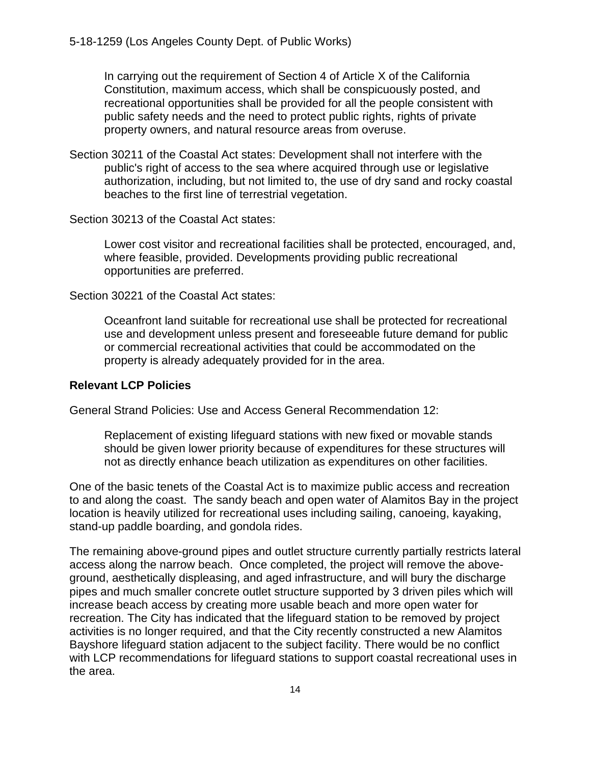In carrying out the requirement of Section 4 of Article X of the California Constitution, maximum access, which shall be conspicuously posted, and recreational opportunities shall be provided for all the people consistent with public safety needs and the need to protect public rights, rights of private property owners, and natural resource areas from overuse.

Section 30211 of the Coastal Act states: Development shall not interfere with the public's right of access to the sea where acquired through use or legislative authorization, including, but not limited to, the use of dry sand and rocky coastal beaches to the first line of terrestrial vegetation.

Section 30213 of the Coastal Act states:

Lower cost visitor and recreational facilities shall be protected, encouraged, and, where feasible, provided. Developments providing public recreational opportunities are preferred.

Section 30221 of the Coastal Act states:

Oceanfront land suitable for recreational use shall be protected for recreational use and development unless present and foreseeable future demand for public or commercial recreational activities that could be accommodated on the property is already adequately provided for in the area.

#### **Relevant LCP Policies**

General Strand Policies: Use and Access General Recommendation 12:

Replacement of existing lifeguard stations with new fixed or movable stands should be given lower priority because of expenditures for these structures will not as directly enhance beach utilization as expenditures on other facilities.

One of the basic tenets of the Coastal Act is to maximize public access and recreation to and along the coast. The sandy beach and open water of Alamitos Bay in the project location is heavily utilized for recreational uses including sailing, canoeing, kayaking, stand-up paddle boarding, and gondola rides.

The remaining above-ground pipes and outlet structure currently partially restricts lateral access along the narrow beach. Once completed, the project will remove the aboveground, aesthetically displeasing, and aged infrastructure, and will bury the discharge pipes and much smaller concrete outlet structure supported by 3 driven piles which will increase beach access by creating more usable beach and more open water for recreation. The City has indicated that the lifeguard station to be removed by project activities is no longer required, and that the City recently constructed a new Alamitos Bayshore lifeguard station adjacent to the subject facility. There would be no conflict with LCP recommendations for lifeguard stations to support coastal recreational uses in the area.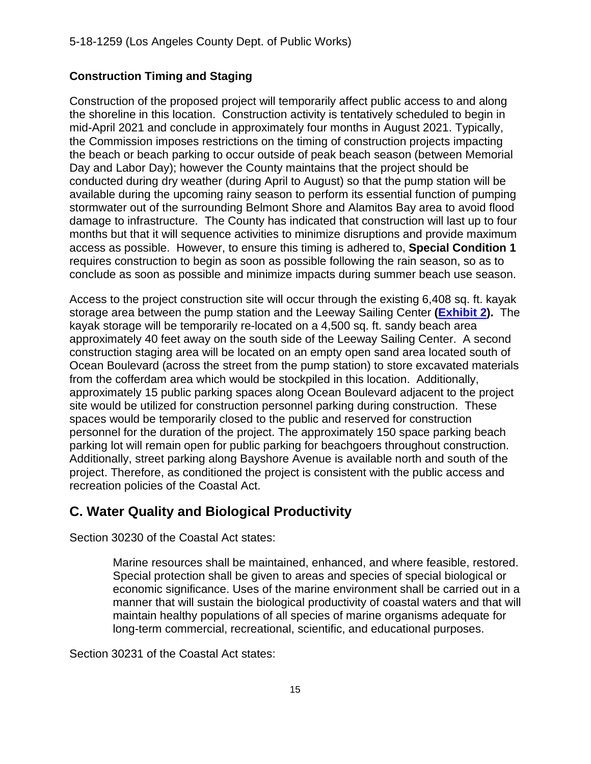#### **Construction Timing and Staging**

Construction of the proposed project will temporarily affect public access to and along the shoreline in this location. Construction activity is tentatively scheduled to begin in mid-April 2021 and conclude in approximately four months in August 2021. Typically, the Commission imposes restrictions on the timing of construction projects impacting the beach or beach parking to occur outside of peak beach season (between Memorial Day and Labor Day); however the County maintains that the project should be conducted during dry weather (during April to August) so that the pump station will be available during the upcoming rainy season to perform its essential function of pumping stormwater out of the surrounding Belmont Shore and Alamitos Bay area to avoid flood damage to infrastructure. The County has indicated that construction will last up to four months but that it will sequence activities to minimize disruptions and provide maximum access as possible. However, to ensure this timing is adhered to, **Special Condition 1**  requires construction to begin as soon as possible following the rain season, so as to conclude as soon as possible and minimize impacts during summer beach use season.

Access to the project construction site will occur through the existing 6,408 sq. ft. kayak storage area between the pump station and the Leeway Sailing Center **[\(Exhibit 2\)](https://documents.coastal.ca.gov/reports/2021/3/Th13a/Th13a-3-2021-exhibits.pdf).** The kayak storage will be temporarily re-located on a 4,500 sq. ft. sandy beach area approximately 40 feet away on the south side of the Leeway Sailing Center. A second construction staging area will be located on an empty open sand area located south of Ocean Boulevard (across the street from the pump station) to store excavated materials from the cofferdam area which would be stockpiled in this location. Additionally, approximately 15 public parking spaces along Ocean Boulevard adjacent to the project site would be utilized for construction personnel parking during construction. These spaces would be temporarily closed to the public and reserved for construction personnel for the duration of the project. The approximately 150 space parking beach parking lot will remain open for public parking for beachgoers throughout construction. Additionally, street parking along Bayshore Avenue is available north and south of the project. Therefore, as conditioned the project is consistent with the public access and recreation policies of the Coastal Act.

## <span id="page-14-0"></span>**C. Water Quality and Biological Productivity**

Section 30230 of the Coastal Act states:

Marine resources shall be maintained, enhanced, and where feasible, restored. Special protection shall be given to areas and species of special biological or economic significance. Uses of the marine environment shall be carried out in a manner that will sustain the biological productivity of coastal waters and that will maintain healthy populations of all species of marine organisms adequate for long-term commercial, recreational, scientific, and educational purposes.

Section 30231 of the Coastal Act states: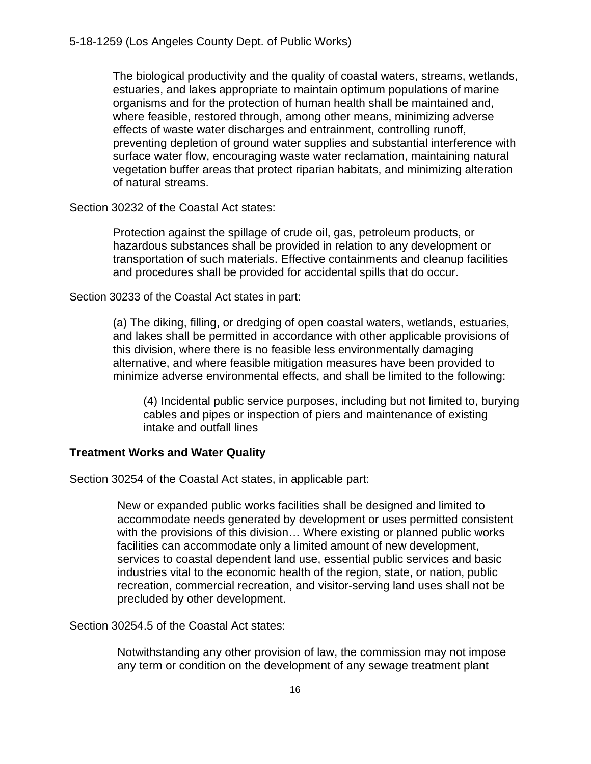The biological productivity and the quality of coastal waters, streams, wetlands, estuaries, and lakes appropriate to maintain optimum populations of marine organisms and for the protection of human health shall be maintained and, where feasible, restored through, among other means, minimizing adverse effects of waste water discharges and entrainment, controlling runoff, preventing depletion of ground water supplies and substantial interference with surface water flow, encouraging waste water reclamation, maintaining natural vegetation buffer areas that protect riparian habitats, and minimizing alteration of natural streams.

Section 30232 of the Coastal Act states:

Protection against the spillage of crude oil, gas, petroleum products, or hazardous substances shall be provided in relation to any development or transportation of such materials. Effective containments and cleanup facilities and procedures shall be provided for accidental spills that do occur.

Section 30233 of the Coastal Act states in part:

(a) The diking, filling, or dredging of open coastal waters, wetlands, estuaries, and lakes shall be permitted in accordance with other applicable provisions of this division, where there is no feasible less environmentally damaging alternative, and where feasible mitigation measures have been provided to minimize adverse environmental effects, and shall be limited to the following:

(4) Incidental public service purposes, including but not limited to, burying cables and pipes or inspection of piers and maintenance of existing intake and outfall lines

#### **Treatment Works and Water Quality**

Section 30254 of the Coastal Act states, in applicable part:

New or expanded public works facilities shall be designed and limited to accommodate needs generated by development or uses permitted consistent with the provisions of this division… Where existing or planned public works facilities can accommodate only a limited amount of new development, services to coastal dependent land use, essential public services and basic industries vital to the economic health of the region, state, or nation, public recreation, commercial recreation, and visitor-serving land uses shall not be precluded by other development.

Section 30254.5 of the Coastal Act states:

Notwithstanding any other provision of law, the commission may not impose any term or condition on the development of any sewage treatment plant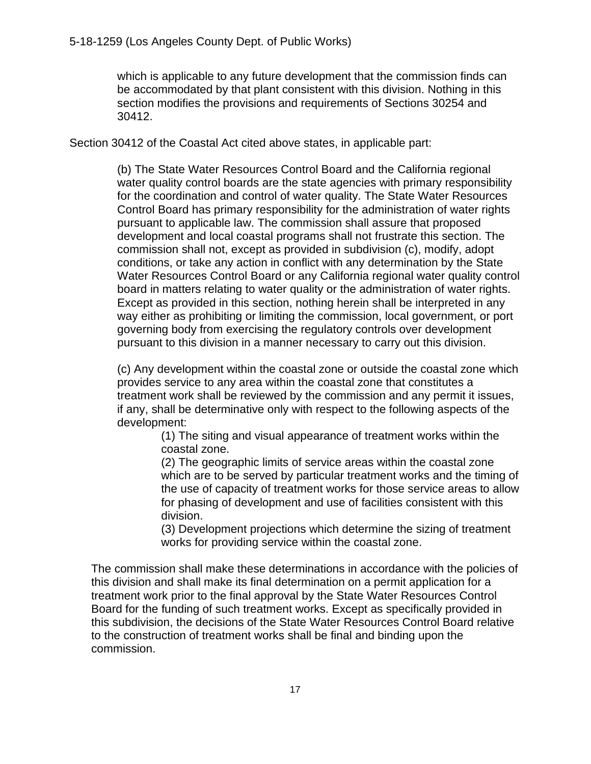which is applicable to any future development that the commission finds can be accommodated by that plant consistent with this division. Nothing in this section modifies the provisions and requirements of Sections 30254 and 30412.

Section 30412 of the Coastal Act cited above states, in applicable part:

(b) The State Water Resources Control Board and the California regional water quality control boards are the state agencies with primary responsibility for the coordination and control of water quality. The State Water Resources Control Board has primary responsibility for the administration of water rights pursuant to applicable law. The commission shall assure that proposed development and local coastal programs shall not frustrate this section. The commission shall not, except as provided in subdivision (c), modify, adopt conditions, or take any action in conflict with any determination by the State Water Resources Control Board or any California regional water quality control board in matters relating to water quality or the administration of water rights. Except as provided in this section, nothing herein shall be interpreted in any way either as prohibiting or limiting the commission, local government, or port governing body from exercising the regulatory controls over development pursuant to this division in a manner necessary to carry out this division.

(c) Any development within the coastal zone or outside the coastal zone which provides service to any area within the coastal zone that constitutes a treatment work shall be reviewed by the commission and any permit it issues, if any, shall be determinative only with respect to the following aspects of the development:

> (1) The siting and visual appearance of treatment works within the coastal zone.

(2) The geographic limits of service areas within the coastal zone which are to be served by particular treatment works and the timing of the use of capacity of treatment works for those service areas to allow for phasing of development and use of facilities consistent with this division.

(3) Development projections which determine the sizing of treatment works for providing service within the coastal zone.

The commission shall make these determinations in accordance with the policies of this division and shall make its final determination on a permit application for a treatment work prior to the final approval by the State Water Resources Control Board for the funding of such treatment works. Except as specifically provided in this subdivision, the decisions of the State Water Resources Control Board relative to the construction of treatment works shall be final and binding upon the commission.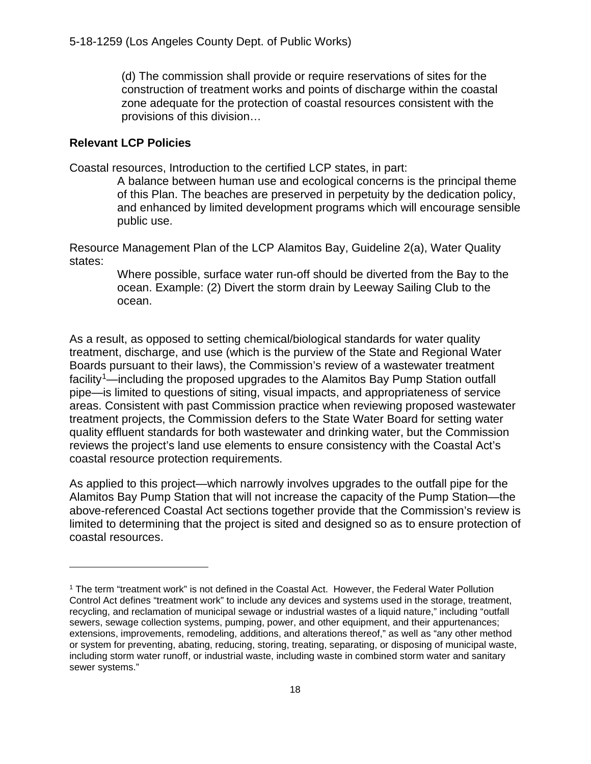(d) The commission shall provide or require reservations of sites for the construction of treatment works and points of discharge within the coastal zone adequate for the protection of coastal resources consistent with the provisions of this division…

#### **Relevant LCP Policies**

Coastal resources, Introduction to the certified LCP states, in part:

A balance between human use and ecological concerns is the principal theme of this Plan. The beaches are preserved in perpetuity by the dedication policy, and enhanced by limited development programs which will encourage sensible public use.

Resource Management Plan of the LCP Alamitos Bay, Guideline 2(a), Water Quality states:

> Where possible, surface water run-off should be diverted from the Bay to the ocean. Example: (2) Divert the storm drain by Leeway Sailing Club to the ocean.

As a result, as opposed to setting chemical/biological standards for water quality treatment, discharge, and use (which is the purview of the State and Regional Water Boards pursuant to their laws), the Commission's review of a wastewater treatment facility[1](#page-17-0)—including the proposed upgrades to the Alamitos Bay Pump Station outfall pipe—is limited to questions of siting, visual impacts, and appropriateness of service areas. Consistent with past Commission practice when reviewing proposed wastewater treatment projects, the Commission defers to the State Water Board for setting water quality effluent standards for both wastewater and drinking water, but the Commission reviews the project's land use elements to ensure consistency with the Coastal Act's coastal resource protection requirements.

As applied to this project—which narrowly involves upgrades to the outfall pipe for the Alamitos Bay Pump Station that will not increase the capacity of the Pump Station—the above-referenced Coastal Act sections together provide that the Commission's review is limited to determining that the project is sited and designed so as to ensure protection of coastal resources.

<span id="page-17-0"></span><sup>&</sup>lt;sup>1</sup> The term "treatment work" is not defined in the Coastal Act. However, the Federal Water Pollution Control Act defines "treatment work" to include any devices and systems used in the storage, treatment, recycling, and reclamation of municipal sewage or industrial wastes of a liquid nature," including "outfall sewers, sewage collection systems, pumping, power, and other equipment, and their appurtenances; extensions, improvements, remodeling, additions, and alterations thereof," as well as "any other method or system for preventing, abating, reducing, storing, treating, separating, or disposing of municipal waste, including storm water runoff, or industrial waste, including waste in combined storm water and sanitary sewer systems."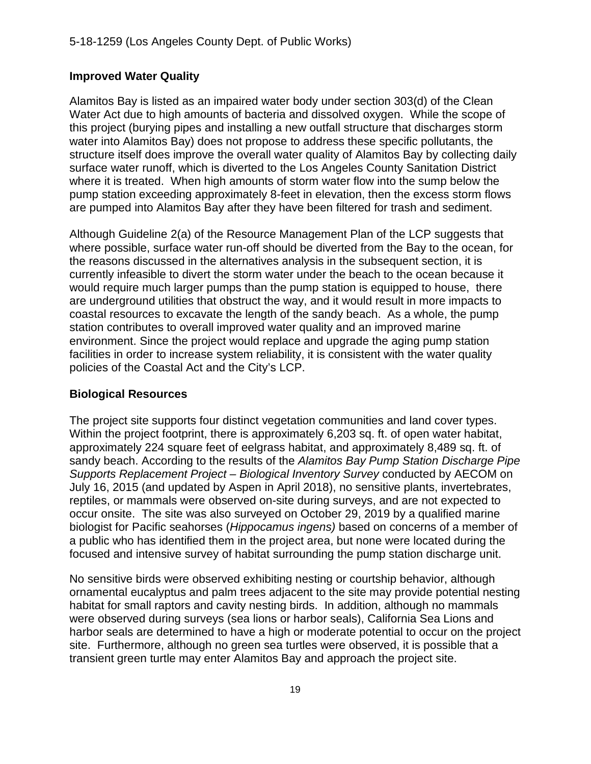#### **Improved Water Quality**

Alamitos Bay is listed as an impaired water body under section 303(d) of the Clean Water Act due to high amounts of bacteria and dissolved oxygen. While the scope of this project (burying pipes and installing a new outfall structure that discharges storm water into Alamitos Bay) does not propose to address these specific pollutants, the structure itself does improve the overall water quality of Alamitos Bay by collecting daily surface water runoff, which is diverted to the Los Angeles County Sanitation District where it is treated. When high amounts of storm water flow into the sump below the pump station exceeding approximately 8-feet in elevation, then the excess storm flows are pumped into Alamitos Bay after they have been filtered for trash and sediment.

Although Guideline 2(a) of the Resource Management Plan of the LCP suggests that where possible, surface water run-off should be diverted from the Bay to the ocean, for the reasons discussed in the alternatives analysis in the subsequent section, it is currently infeasible to divert the storm water under the beach to the ocean because it would require much larger pumps than the pump station is equipped to house, there are underground utilities that obstruct the way, and it would result in more impacts to coastal resources to excavate the length of the sandy beach. As a whole, the pump station contributes to overall improved water quality and an improved marine environment. Since the project would replace and upgrade the aging pump station facilities in order to increase system reliability, it is consistent with the water quality policies of the Coastal Act and the City's LCP.

#### **Biological Resources**

The project site supports four distinct vegetation communities and land cover types. Within the project footprint, there is approximately 6,203 sq. ft. of open water habitat, approximately 224 square feet of eelgrass habitat, and approximately 8,489 sq. ft. of sandy beach. According to the results of the *Alamitos Bay Pump Station Discharge Pipe Supports Replacement Project – Biological Inventory Survey* conducted by AECOM on July 16, 2015 (and updated by Aspen in April 2018), no sensitive plants, invertebrates, reptiles, or mammals were observed on-site during surveys, and are not expected to occur onsite. The site was also surveyed on October 29, 2019 by a qualified marine biologist for Pacific seahorses (*Hippocamus ingens)* based on concerns of a member of a public who has identified them in the project area, but none were located during the focused and intensive survey of habitat surrounding the pump station discharge unit.

No sensitive birds were observed exhibiting nesting or courtship behavior, although ornamental eucalyptus and palm trees adjacent to the site may provide potential nesting habitat for small raptors and cavity nesting birds. In addition, although no mammals were observed during surveys (sea lions or harbor seals), California Sea Lions and harbor seals are determined to have a high or moderate potential to occur on the project site. Furthermore, although no green sea turtles were observed, it is possible that a transient green turtle may enter Alamitos Bay and approach the project site.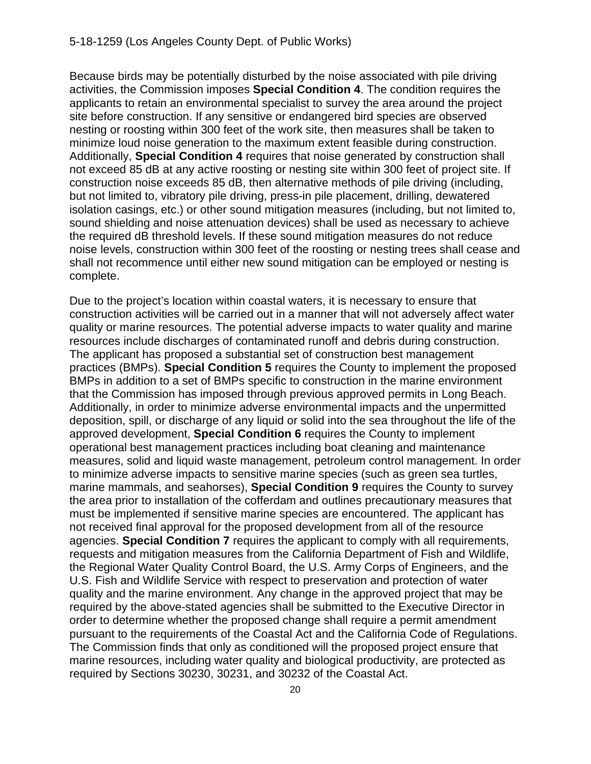Because birds may be potentially disturbed by the noise associated with pile driving activities, the Commission imposes **Special Condition 4**. The condition requires the applicants to retain an environmental specialist to survey the area around the project site before construction. If any sensitive or endangered bird species are observed nesting or roosting within 300 feet of the work site, then measures shall be taken to minimize loud noise generation to the maximum extent feasible during construction. Additionally, **Special Condition 4** requires that noise generated by construction shall not exceed 85 dB at any active roosting or nesting site within 300 feet of project site. If construction noise exceeds 85 dB, then alternative methods of pile driving (including, but not limited to, vibratory pile driving, press-in pile placement, drilling, dewatered isolation casings, etc.) or other sound mitigation measures (including, but not limited to, sound shielding and noise attenuation devices) shall be used as necessary to achieve the required dB threshold levels. If these sound mitigation measures do not reduce noise levels, construction within 300 feet of the roosting or nesting trees shall cease and shall not recommence until either new sound mitigation can be employed or nesting is complete.

Due to the project's location within coastal waters, it is necessary to ensure that construction activities will be carried out in a manner that will not adversely affect water quality or marine resources. The potential adverse impacts to water quality and marine resources include discharges of contaminated runoff and debris during construction. The applicant has proposed a substantial set of construction best management practices (BMPs). **Special Condition 5** requires the County to implement the proposed BMPs in addition to a set of BMPs specific to construction in the marine environment that the Commission has imposed through previous approved permits in Long Beach. Additionally, in order to minimize adverse environmental impacts and the unpermitted deposition, spill, or discharge of any liquid or solid into the sea throughout the life of the approved development, **Special Condition 6** requires the County to implement operational best management practices including boat cleaning and maintenance measures, solid and liquid waste management, petroleum control management. In order to minimize adverse impacts to sensitive marine species (such as green sea turtles, marine mammals, and seahorses), **Special Condition 9** requires the County to survey the area prior to installation of the cofferdam and outlines precautionary measures that must be implemented if sensitive marine species are encountered. The applicant has not received final approval for the proposed development from all of the resource agencies. **Special Condition 7** requires the applicant to comply with all requirements, requests and mitigation measures from the California Department of Fish and Wildlife, the Regional Water Quality Control Board, the U.S. Army Corps of Engineers, and the U.S. Fish and Wildlife Service with respect to preservation and protection of water quality and the marine environment. Any change in the approved project that may be required by the above-stated agencies shall be submitted to the Executive Director in order to determine whether the proposed change shall require a permit amendment pursuant to the requirements of the Coastal Act and the California Code of Regulations. The Commission finds that only as conditioned will the proposed project ensure that marine resources, including water quality and biological productivity, are protected as required by Sections 30230, 30231, and 30232 of the Coastal Act.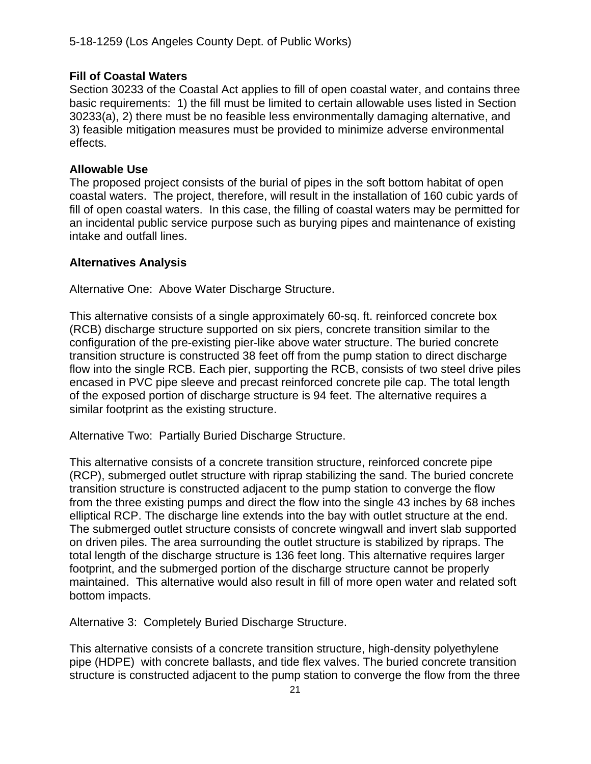#### **Fill of Coastal Waters**

Section 30233 of the Coastal Act applies to fill of open coastal water, and contains three basic requirements: 1) the fill must be limited to certain allowable uses listed in Section 30233(a), 2) there must be no feasible less environmentally damaging alternative, and 3) feasible mitigation measures must be provided to minimize adverse environmental effects.

#### **Allowable Use**

The proposed project consists of the burial of pipes in the soft bottom habitat of open coastal waters. The project, therefore, will result in the installation of 160 cubic yards of fill of open coastal waters. In this case, the filling of coastal waters may be permitted for an incidental public service purpose such as burying pipes and maintenance of existing intake and outfall lines.

#### **Alternatives Analysis**

Alternative One: Above Water Discharge Structure.

This alternative consists of a single approximately 60-sq. ft. reinforced concrete box (RCB) discharge structure supported on six piers, concrete transition similar to the configuration of the pre-existing pier-like above water structure. The buried concrete transition structure is constructed 38 feet off from the pump station to direct discharge flow into the single RCB. Each pier, supporting the RCB, consists of two steel drive piles encased in PVC pipe sleeve and precast reinforced concrete pile cap. The total length of the exposed portion of discharge structure is 94 feet. The alternative requires a similar footprint as the existing structure.

Alternative Two: Partially Buried Discharge Structure.

This alternative consists of a concrete transition structure, reinforced concrete pipe (RCP), submerged outlet structure with riprap stabilizing the sand. The buried concrete transition structure is constructed adjacent to the pump station to converge the flow from the three existing pumps and direct the flow into the single 43 inches by 68 inches elliptical RCP. The discharge line extends into the bay with outlet structure at the end. The submerged outlet structure consists of concrete wingwall and invert slab supported on driven piles. The area surrounding the outlet structure is stabilized by ripraps. The total length of the discharge structure is 136 feet long. This alternative requires larger footprint, and the submerged portion of the discharge structure cannot be properly maintained. This alternative would also result in fill of more open water and related soft bottom impacts.

Alternative 3: Completely Buried Discharge Structure.

This alternative consists of a concrete transition structure, high-density polyethylene pipe (HDPE) with concrete ballasts, and tide flex valves. The buried concrete transition structure is constructed adjacent to the pump station to converge the flow from the three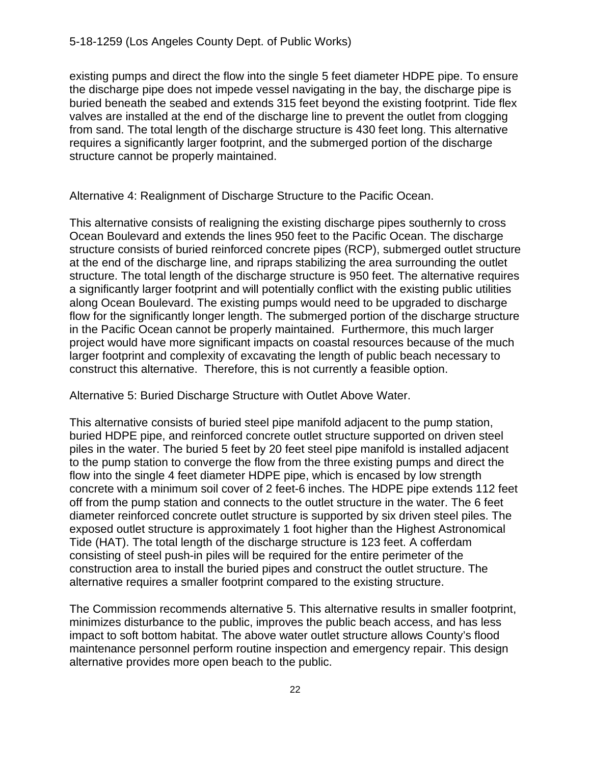existing pumps and direct the flow into the single 5 feet diameter HDPE pipe. To ensure the discharge pipe does not impede vessel navigating in the bay, the discharge pipe is buried beneath the seabed and extends 315 feet beyond the existing footprint. Tide flex valves are installed at the end of the discharge line to prevent the outlet from clogging from sand. The total length of the discharge structure is 430 feet long. This alternative requires a significantly larger footprint, and the submerged portion of the discharge structure cannot be properly maintained.

Alternative 4: Realignment of Discharge Structure to the Pacific Ocean.

This alternative consists of realigning the existing discharge pipes southernly to cross Ocean Boulevard and extends the lines 950 feet to the Pacific Ocean. The discharge structure consists of buried reinforced concrete pipes (RCP), submerged outlet structure at the end of the discharge line, and ripraps stabilizing the area surrounding the outlet structure. The total length of the discharge structure is 950 feet. The alternative requires a significantly larger footprint and will potentially conflict with the existing public utilities along Ocean Boulevard. The existing pumps would need to be upgraded to discharge flow for the significantly longer length. The submerged portion of the discharge structure in the Pacific Ocean cannot be properly maintained. Furthermore, this much larger project would have more significant impacts on coastal resources because of the much larger footprint and complexity of excavating the length of public beach necessary to construct this alternative. Therefore, this is not currently a feasible option.

Alternative 5: Buried Discharge Structure with Outlet Above Water.

This alternative consists of buried steel pipe manifold adjacent to the pump station, buried HDPE pipe, and reinforced concrete outlet structure supported on driven steel piles in the water. The buried 5 feet by 20 feet steel pipe manifold is installed adjacent to the pump station to converge the flow from the three existing pumps and direct the flow into the single 4 feet diameter HDPE pipe, which is encased by low strength concrete with a minimum soil cover of 2 feet-6 inches. The HDPE pipe extends 112 feet off from the pump station and connects to the outlet structure in the water. The 6 feet diameter reinforced concrete outlet structure is supported by six driven steel piles. The exposed outlet structure is approximately 1 foot higher than the Highest Astronomical Tide (HAT). The total length of the discharge structure is 123 feet. A cofferdam consisting of steel push-in piles will be required for the entire perimeter of the construction area to install the buried pipes and construct the outlet structure. The alternative requires a smaller footprint compared to the existing structure.

The Commission recommends alternative 5. This alternative results in smaller footprint, minimizes disturbance to the public, improves the public beach access, and has less impact to soft bottom habitat. The above water outlet structure allows County's flood maintenance personnel perform routine inspection and emergency repair. This design alternative provides more open beach to the public.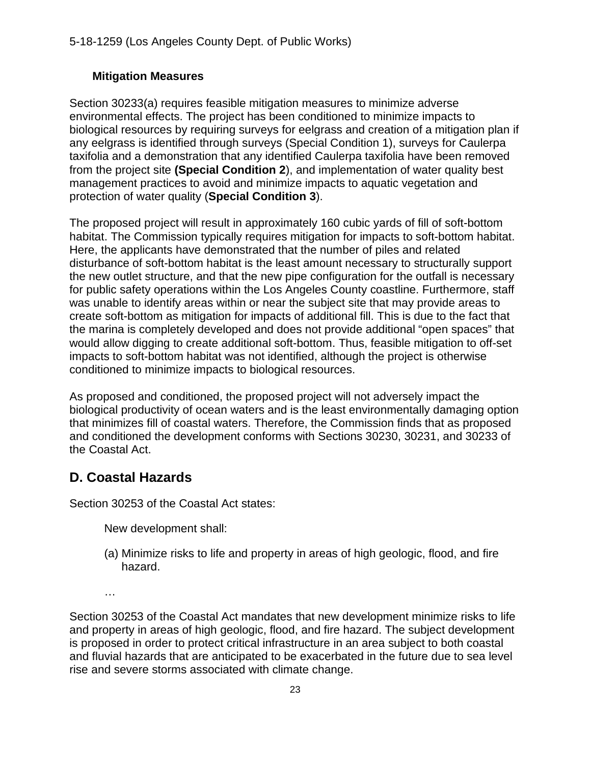#### **Mitigation Measures**

Section 30233(a) requires feasible mitigation measures to minimize adverse environmental effects. The project has been conditioned to minimize impacts to biological resources by requiring surveys for eelgrass and creation of a mitigation plan if any eelgrass is identified through surveys (Special Condition 1), surveys for Caulerpa taxifolia and a demonstration that any identified Caulerpa taxifolia have been removed from the project site **(Special Condition 2**), and implementation of water quality best management practices to avoid and minimize impacts to aquatic vegetation and protection of water quality (**Special Condition 3**).

The proposed project will result in approximately 160 cubic yards of fill of soft-bottom habitat. The Commission typically requires mitigation for impacts to soft-bottom habitat. Here, the applicants have demonstrated that the number of piles and related disturbance of soft-bottom habitat is the least amount necessary to structurally support the new outlet structure, and that the new pipe configuration for the outfall is necessary for public safety operations within the Los Angeles County coastline. Furthermore, staff was unable to identify areas within or near the subject site that may provide areas to create soft-bottom as mitigation for impacts of additional fill. This is due to the fact that the marina is completely developed and does not provide additional "open spaces" that would allow digging to create additional soft-bottom. Thus, feasible mitigation to off-set impacts to soft-bottom habitat was not identified, although the project is otherwise conditioned to minimize impacts to biological resources.

As proposed and conditioned, the proposed project will not adversely impact the biological productivity of ocean waters and is the least environmentally damaging option that minimizes fill of coastal waters. Therefore, the Commission finds that as proposed and conditioned the development conforms with Sections 30230, 30231, and 30233 of the Coastal Act.

## <span id="page-22-0"></span>**D. Coastal Hazards**

Section 30253 of the Coastal Act states:

New development shall:

- (a) Minimize risks to life and property in areas of high geologic, flood, and fire hazard.
- …

Section 30253 of the Coastal Act mandates that new development minimize risks to life and property in areas of high geologic, flood, and fire hazard. The subject development is proposed in order to protect critical infrastructure in an area subject to both coastal and fluvial hazards that are anticipated to be exacerbated in the future due to sea level rise and severe storms associated with climate change.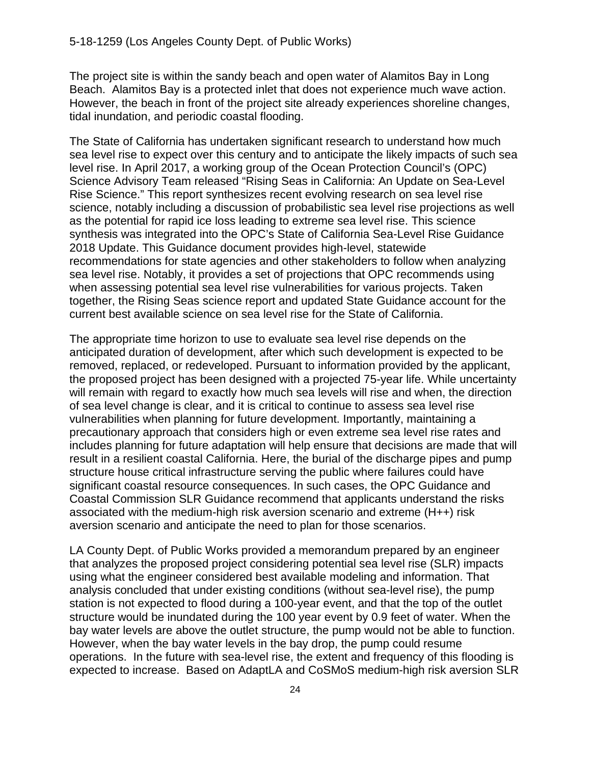The project site is within the sandy beach and open water of Alamitos Bay in Long Beach. Alamitos Bay is a protected inlet that does not experience much wave action. However, the beach in front of the project site already experiences shoreline changes, tidal inundation, and periodic coastal flooding.

The State of California has undertaken significant research to understand how much sea level rise to expect over this century and to anticipate the likely impacts of such sea level rise. In April 2017, a working group of the Ocean Protection Council's (OPC) Science Advisory Team released "Rising Seas in California: An Update on Sea-Level Rise Science." This report synthesizes recent evolving research on sea level rise science, notably including a discussion of probabilistic sea level rise projections as well as the potential for rapid ice loss leading to extreme sea level rise. This science synthesis was integrated into the OPC's State of California Sea-Level Rise Guidance 2018 Update. This Guidance document provides high-level, statewide recommendations for state agencies and other stakeholders to follow when analyzing sea level rise. Notably, it provides a set of projections that OPC recommends using when assessing potential sea level rise vulnerabilities for various projects. Taken together, the Rising Seas science report and updated State Guidance account for the current best available science on sea level rise for the State of California.

The appropriate time horizon to use to evaluate sea level rise depends on the anticipated duration of development, after which such development is expected to be removed, replaced, or redeveloped. Pursuant to information provided by the applicant, the proposed project has been designed with a projected 75-year life. While uncertainty will remain with regard to exactly how much sea levels will rise and when, the direction of sea level change is clear, and it is critical to continue to assess sea level rise vulnerabilities when planning for future development. Importantly, maintaining a precautionary approach that considers high or even extreme sea level rise rates and includes planning for future adaptation will help ensure that decisions are made that will result in a resilient coastal California. Here, the burial of the discharge pipes and pump structure house critical infrastructure serving the public where failures could have significant coastal resource consequences. In such cases, the OPC Guidance and Coastal Commission SLR Guidance recommend that applicants understand the risks associated with the medium-high risk aversion scenario and extreme (H++) risk aversion scenario and anticipate the need to plan for those scenarios.

LA County Dept. of Public Works provided a memorandum prepared by an engineer that analyzes the proposed project considering potential sea level rise (SLR) impacts using what the engineer considered best available modeling and information. That analysis concluded that under existing conditions (without sea-level rise), the pump station is not expected to flood during a 100-year event, and that the top of the outlet structure would be inundated during the 100 year event by 0.9 feet of water. When the bay water levels are above the outlet structure, the pump would not be able to function. However, when the bay water levels in the bay drop, the pump could resume operations. In the future with sea-level rise, the extent and frequency of this flooding is expected to increase. Based on AdaptLA and CoSMoS medium-high risk aversion SLR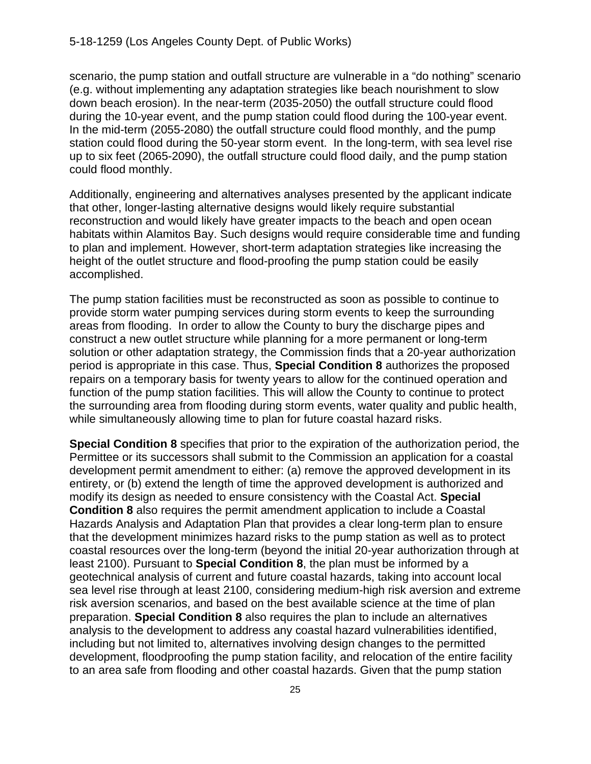scenario, the pump station and outfall structure are vulnerable in a "do nothing" scenario (e.g. without implementing any adaptation strategies like beach nourishment to slow down beach erosion). In the near-term (2035-2050) the outfall structure could flood during the 10-year event, and the pump station could flood during the 100-year event. In the mid-term (2055-2080) the outfall structure could flood monthly, and the pump station could flood during the 50-year storm event. In the long-term, with sea level rise up to six feet (2065-2090), the outfall structure could flood daily, and the pump station could flood monthly.

Additionally, engineering and alternatives analyses presented by the applicant indicate that other, longer-lasting alternative designs would likely require substantial reconstruction and would likely have greater impacts to the beach and open ocean habitats within Alamitos Bay. Such designs would require considerable time and funding to plan and implement. However, short-term adaptation strategies like increasing the height of the outlet structure and flood-proofing the pump station could be easily accomplished.

The pump station facilities must be reconstructed as soon as possible to continue to provide storm water pumping services during storm events to keep the surrounding areas from flooding. In order to allow the County to bury the discharge pipes and construct a new outlet structure while planning for a more permanent or long-term solution or other adaptation strategy, the Commission finds that a 20-year authorization period is appropriate in this case. Thus, **Special Condition 8** authorizes the proposed repairs on a temporary basis for twenty years to allow for the continued operation and function of the pump station facilities. This will allow the County to continue to protect the surrounding area from flooding during storm events, water quality and public health, while simultaneously allowing time to plan for future coastal hazard risks.

**Special Condition 8** specifies that prior to the expiration of the authorization period, the Permittee or its successors shall submit to the Commission an application for a coastal development permit amendment to either: (a) remove the approved development in its entirety, or (b) extend the length of time the approved development is authorized and modify its design as needed to ensure consistency with the Coastal Act. **Special Condition 8** also requires the permit amendment application to include a Coastal Hazards Analysis and Adaptation Plan that provides a clear long-term plan to ensure that the development minimizes hazard risks to the pump station as well as to protect coastal resources over the long-term (beyond the initial 20-year authorization through at least 2100). Pursuant to **Special Condition 8**, the plan must be informed by a geotechnical analysis of current and future coastal hazards, taking into account local sea level rise through at least 2100, considering medium-high risk aversion and extreme risk aversion scenarios, and based on the best available science at the time of plan preparation. **Special Condition 8** also requires the plan to include an alternatives analysis to the development to address any coastal hazard vulnerabilities identified, including but not limited to, alternatives involving design changes to the permitted development, floodproofing the pump station facility, and relocation of the entire facility to an area safe from flooding and other coastal hazards. Given that the pump station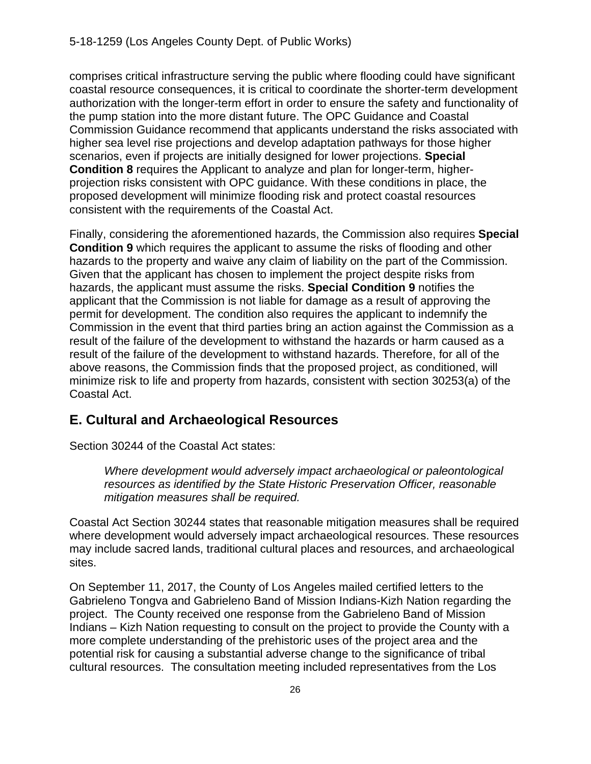comprises critical infrastructure serving the public where flooding could have significant coastal resource consequences, it is critical to coordinate the shorter-term development authorization with the longer-term effort in order to ensure the safety and functionality of the pump station into the more distant future. The OPC Guidance and Coastal Commission Guidance recommend that applicants understand the risks associated with higher sea level rise projections and develop adaptation pathways for those higher scenarios, even if projects are initially designed for lower projections. **Special Condition 8** requires the Applicant to analyze and plan for longer-term, higherprojection risks consistent with OPC guidance. With these conditions in place, the proposed development will minimize flooding risk and protect coastal resources consistent with the requirements of the Coastal Act.

Finally, considering the aforementioned hazards, the Commission also requires **Special Condition 9** which requires the applicant to assume the risks of flooding and other hazards to the property and waive any claim of liability on the part of the Commission. Given that the applicant has chosen to implement the project despite risks from hazards, the applicant must assume the risks. **Special Condition 9** notifies the applicant that the Commission is not liable for damage as a result of approving the permit for development. The condition also requires the applicant to indemnify the Commission in the event that third parties bring an action against the Commission as a result of the failure of the development to withstand the hazards or harm caused as a result of the failure of the development to withstand hazards. Therefore, for all of the above reasons, the Commission finds that the proposed project, as conditioned, will minimize risk to life and property from hazards, consistent with section 30253(a) of the Coastal Act.

## <span id="page-25-0"></span>**E. Cultural and Archaeological Resources**

Section 30244 of the Coastal Act states:

*Where development would adversely impact archaeological or paleontological resources as identified by the State Historic Preservation Officer, reasonable mitigation measures shall be required.*

Coastal Act Section 30244 states that reasonable mitigation measures shall be required where development would adversely impact archaeological resources. These resources may include sacred lands, traditional cultural places and resources, and archaeological sites.

On September 11, 2017, the County of Los Angeles mailed certified letters to the Gabrieleno Tongva and Gabrieleno Band of Mission Indians-Kizh Nation regarding the project. The County received one response from the Gabrieleno Band of Mission Indians – Kizh Nation requesting to consult on the project to provide the County with a more complete understanding of the prehistoric uses of the project area and the potential risk for causing a substantial adverse change to the significance of tribal cultural resources. The consultation meeting included representatives from the Los